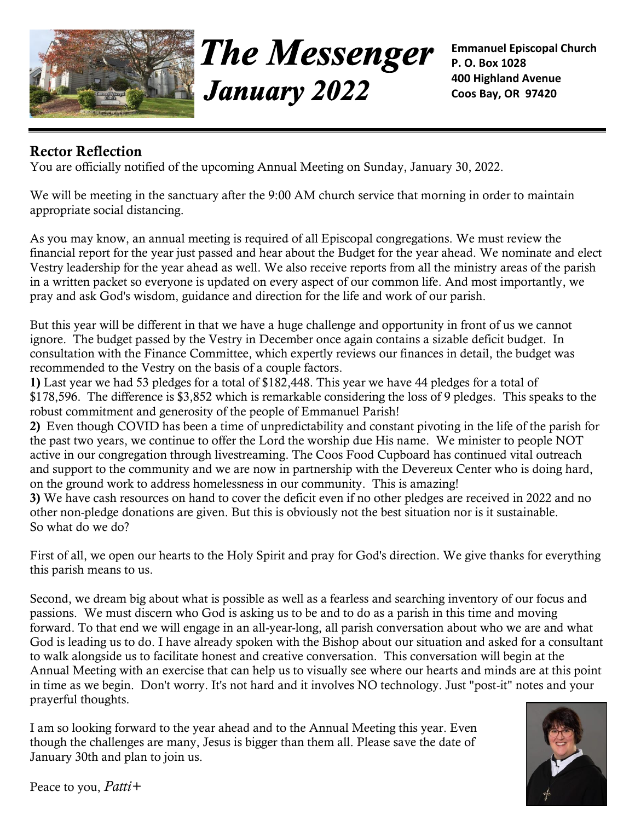

**The Messenger January 2022** 

**Emmanuel Episcopal Church P. O. Box 1028 400 Highland Avenue Coos Bay, OR 97420**

## **Rector Reflection**

You are officially notified of the upcoming Annual Meeting on Sunday, January 30, 2022.

We will be meeting in the sanctuary after the 9:00 AM church service that morning in order to maintain appropriate social distancing.

As you may know, an annual meeting is required of all Episcopal congregations. We must review the financial report for the year just passed and hear about the Budget for the year ahead. We nominate and elect Vestry leadership for the year ahead as well. We also receive reports from all the ministry areas of the parish in a written packet so everyone is updated on every aspect of our common life. And most importantly, we pray and ask God's wisdom, guidance and direction for the life and work of our parish.

But this year will be different in that we have a huge challenge and opportunity in front of us we cannot ignore. The budget passed by the Vestry in December once again contains a sizable deficit budget. In consultation with the Finance Committee, which expertly reviews our finances in detail, the budget was recommended to the Vestry on the basis of a couple factors.

**1)** Last year we had 53 pledges for a total of \$182,448. This year we have 44 pledges for a total of \$178,596. The difference is \$3,852 which is remarkable considering the loss of 9 pledges. This speaks to the robust commitment and generosity of the people of Emmanuel Parish!

**2)** Even though COVID has been a time of unpredictability and constant pivoting in the life of the parish for the past two years, we continue to offer the Lord the worship due His name. We minister to people NOT active in our congregation through livestreaming. The Coos Food Cupboard has continued vital outreach and support to the community and we are now in partnership with the Devereux Center who is doing hard, on the ground work to address homelessness in our community. This is amazing!

**3)** We have cash resources on hand to cover the deficit even if no other pledges are received in 2022 and no other non-pledge donations are given. But this is obviously not the best situation nor is it sustainable. So what do we do?

First of all, we open our hearts to the Holy Spirit and pray for God's direction. We give thanks for everything this parish means to us.

Second, we dream big about what is possible as well as a fearless and searching inventory of our focus and passions. We must discern who God is asking us to be and to do as a parish in this time and moving forward. To that end we will engage in an all-year-long, all parish conversation about who we are and what God is leading us to do. I have already spoken with the Bishop about our situation and asked for a consultant to walk alongside us to facilitate honest and creative conversation. This conversation will begin at the Annual Meeting with an exercise that can help us to visually see where our hearts and minds are at this point in time as we begin. Don't worry. It's not hard and it involves NO technology. Just "post-it" notes and your prayerful thoughts.

I am so looking forward to the year ahead and to the Annual Meeting this year. Even though the challenges are many, Jesus is bigger than them all. Please save the date of January 30th and plan to join us.



Peace to you, *Patti+*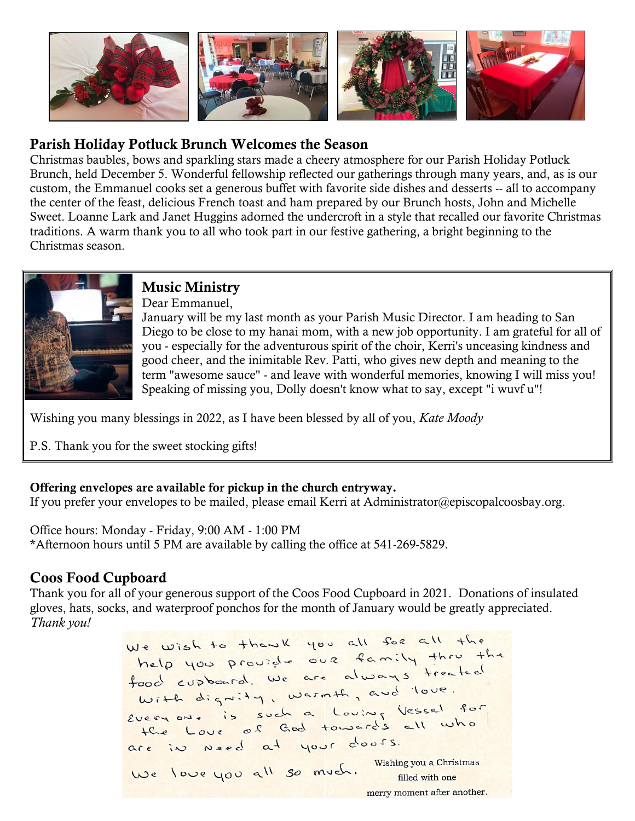

## **Parish Holiday Potluck Brunch Welcomes the Season**

Christmas baubles, bows and sparkling stars made a cheery atmosphere for our Parish Holiday Potluck Brunch, held December 5. Wonderful fellowship reflected our gatherings through many years, and, as is our custom, the Emmanuel cooks set a generous buffet with favorite side dishes and desserts -- all to accompany the center of the feast, delicious French toast and ham prepared by our Brunch hosts, John and Michelle Sweet. Loanne Lark and Janet Huggins adorned the undercroft in a style that recalled our favorite Christmas traditions. A warm thank you to all who took part in our festive gathering, a bright beginning to the Christmas season.



# **Music Ministry**

Dear Emmanuel,

January will be my last month as your Parish Music Director. I am heading to San Diego to be close to my hanai mom, with a new job opportunity. I am grateful for all of you - especially for the adventurous spirit of the choir, Kerri's unceasing kindness and good cheer, and the inimitable Rev. Patti, who gives new depth and meaning to the term "awesome sauce" - and leave with wonderful memories, knowing I will miss you! Speaking of missing you, Dolly doesn't know what to say, except "i wuvf u"!

Wishing you many blessings in 2022, as I have been blessed by all of you, *Kate Moody*

P.S. Thank you for the sweet stocking gifts!

### **Offering envelopes are available for pickup in the church entryway.**

If you prefer your envelopes to be mailed, please email Kerri at [Administrator@episcopalcoosbay.org.](mailto:Administrator@episcopalcoosbay.org)

Office hours: Monday - Friday, 9:00 AM - 1:00 PM \*Afternoon hours until 5 PM are available by calling the office at 541-269-5829.

## **Coos Food Cupboard**

Thank you for all of your generous support of the Coos Food Cupboard in 2021. Donations of insulated gloves, hats, socks, and waterproof ponchos for the month of January would be greatly appreciated. *Thank you!*

We wish to thewk you all for all the<br>help you prouzed our family thru the<br>food cupboard, we are always treated food cupboard, we did not love. With digning, washing in Vessel for<br>Everyon. is such a Louing Vessel for are in need at your doors. We love you all so much. Wishing you a Christmas merry moment after another.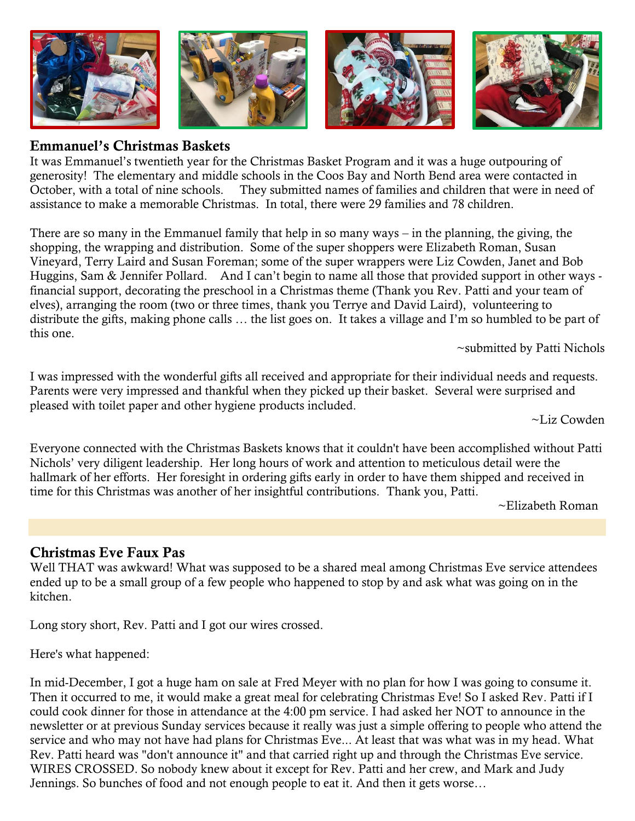

#### **Emmanuel's Christmas Baskets**

It was Emmanuel's twentieth year for the Christmas Basket Program and it was a huge outpouring of generosity! The elementary and middle schools in the Coos Bay and North Bend area were contacted in October, with a total of nine schools. They submitted names of families and children that were in need of assistance to make a memorable Christmas. In total, there were 29 families and 78 children.

There are so many in the Emmanuel family that help in so many ways – in the planning, the giving, the shopping, the wrapping and distribution. Some of the super shoppers were Elizabeth Roman, Susan Vineyard, Terry Laird and Susan Foreman; some of the super wrappers were Liz Cowden, Janet and Bob Huggins, Sam & Jennifer Pollard. And I can't begin to name all those that provided support in other ways financial support, decorating the preschool in a Christmas theme (Thank you Rev. Patti and your team of elves), arranging the room (two or three times, thank you Terrye and David Laird), volunteering to distribute the gifts, making phone calls … the list goes on. It takes a village and I'm so humbled to be part of this one.

~submitted by Patti Nichols

I was impressed with the wonderful gifts all received and appropriate for their individual needs and requests. Parents were very impressed and thankful when they picked up their basket. Several were surprised and pleased with toilet paper and other hygiene products included.

~Liz Cowden

Everyone connected with the Christmas Baskets knows that it couldn't have been accomplished without Patti Nichols' very diligent leadership. Her long hours of work and attention to meticulous detail were the hallmark of her efforts. Her foresight in ordering gifts early in order to have them shipped and received in time for this Christmas was another of her insightful contributions. Thank you, Patti.

~Elizabeth Roman

### **Christmas Eve Faux Pas**

Well THAT was awkward! What was supposed to be a shared meal among Christmas Eve service attendees ended up to be a small group of a few people who happened to stop by and ask what was going on in the kitchen.

Long story short, Rev. Patti and I got our wires crossed.

Here's what happened:

In mid-December, I got a huge ham on sale at Fred Meyer with no plan for how I was going to consume it. Then it occurred to me, it would make a great meal for celebrating Christmas Eve! So I asked Rev. Patti if I could cook dinner for those in attendance at the 4:00 pm service. I had asked her NOT to announce in the newsletter or at previous Sunday services because it really was just a simple offering to people who attend the service and who may not have had plans for Christmas Eve... At least that was what was in my head. What Rev. Patti heard was "don't announce it" and that carried right up and through the Christmas Eve service. WIRES CROSSED. So nobody knew about it except for Rev. Patti and her crew, and Mark and Judy Jennings. So bunches of food and not enough people to eat it. And then it gets worse…